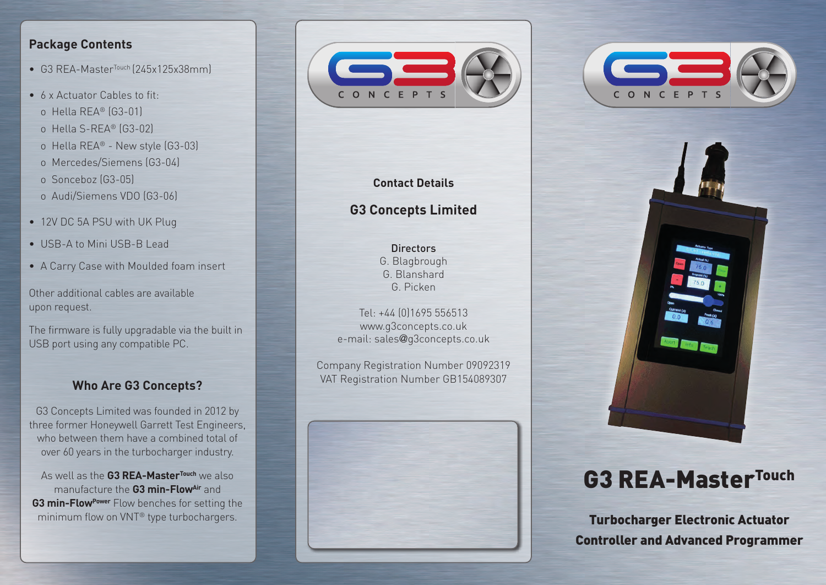### **Package Contents**

- G3 REA-Master<sup>Touch</sup> (245x125x38mm)
- 6 x Actuator Cables to fit:
- o Hella REA® (G3-01)
- o Hella S-REA® (G3-02)
- o Hella REA® New style (G3-03)
- o Mercedes/Siemens (G3-04)
- o Sonceboz (G3-05)
- o Audi/Siemens VDO (G3-06)
- 12V DC 5A PSU with UK Plug
- USB-A to Mini USB-B Lead
- A Carry Case with Moulded foam insert

Other additional cables are available upon request.

The firmware is fully upgradable via the built in USB port using any compatible PC.

### **Who Are G3 Concepts?**

G3 Concepts Limited was founded in 2012 by three former Honeywell Garrett Test Engineers, who between them have a combined total of over 60 years in the turbocharger industry.

As well as the **G3 REA-MasterTouch** we also manufacture the **G3 min-FlowAir** and **G3 min-Flow<sup>Power</sup>** Flow benches for setting the minimum flow on VNT® type turbochargers.



### **Contact Details**

## **G3 Concepts Limited**

Directors G. Blagbrough G. Blanshard G. Picken

Tel: +44 (0)1695 556513 www.g3concepts.co.uk e-mail: sales@g3concepts.co.uk

Company Registration Number 09092319 VAT Registration Number GB154089307







# **G3 REA-MasterTouch**

**Turbocharger Electronic Actuator Controller and Advanced Programmer**